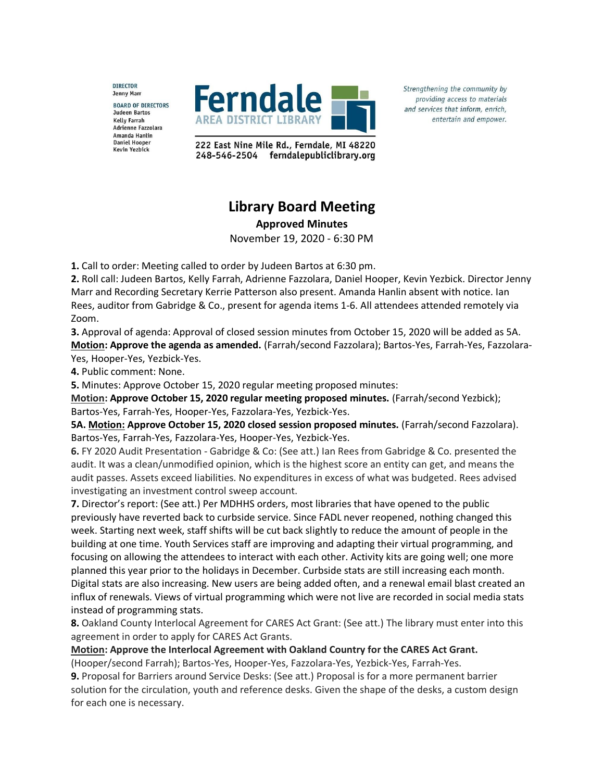**DIRECTOR** Jenny Marr **BOARD OF DIRECTORS Judeen Bartos Kelly Farrah** Adrienne Fazzolara Amanda Hanlin Daniel Hooper **Kevin Yezbick** 



Strengthening the community by providing access to materials and services that inform, enrich, entertain and empower.

222 East Nine Mile Rd., Ferndale, MI 48220 248-546-2504 ferndalepubliclibrary.org

## **Library Board Meeting**

**Approved Minutes**

November 19, 2020 - 6:30 PM

**1.** Call to order: Meeting called to order by Judeen Bartos at 6:30 pm.

**2.** Roll call: Judeen Bartos, Kelly Farrah, Adrienne Fazzolara, Daniel Hooper, Kevin Yezbick. Director Jenny Marr and Recording Secretary Kerrie Patterson also present. Amanda Hanlin absent with notice. Ian Rees, auditor from Gabridge & Co., present for agenda items 1-6. All attendees attended remotely via Zoom.

**3.** Approval of agenda: Approval of closed session minutes from October 15, 2020 will be added as 5A. **Motion: Approve the agenda as amended.** (Farrah/second Fazzolara); Bartos-Yes, Farrah-Yes, Fazzolara-Yes, Hooper-Yes, Yezbick-Yes.

**4.** Public comment: None.

**5.** Minutes: Approve October 15, 2020 regular meeting proposed minutes:

**Motion: Approve October 15, 2020 regular meeting proposed minutes.** (Farrah/second Yezbick); Bartos-Yes, Farrah-Yes, Hooper-Yes, Fazzolara-Yes, Yezbick-Yes.

**5A. Motion: Approve October 15, 2020 closed session proposed minutes.** (Farrah/second Fazzolara). Bartos-Yes, Farrah-Yes, Fazzolara-Yes, Hooper-Yes, Yezbick-Yes.

**6.** FY 2020 Audit Presentation - Gabridge & Co: (See att.) Ian Rees from Gabridge & Co. presented the audit. It was a clean/unmodified opinion, which is the highest score an entity can get, and means the audit passes. Assets exceed liabilities. No expenditures in excess of what was budgeted. Rees advised investigating an investment control sweep account.

**7.** Director's report: (See att.) Per MDHHS orders, most libraries that have opened to the public previously have reverted back to curbside service. Since FADL never reopened, nothing changed this week. Starting next week, staff shifts will be cut back slightly to reduce the amount of people in the building at one time. Youth Services staff are improving and adapting their virtual programming, and focusing on allowing the attendees to interact with each other. Activity kits are going well; one more planned this year prior to the holidays in December. Curbside stats are still increasing each month. Digital stats are also increasing. New users are being added often, and a renewal email blast created an influx of renewals. Views of virtual programming which were not live are recorded in social media stats instead of programming stats.

**8.** Oakland County Interlocal Agreement for CARES Act Grant: (See att.) The library must enter into this agreement in order to apply for CARES Act Grants.

**Motion: Approve the Interlocal Agreement with Oakland Country for the CARES Act Grant.** (Hooper/second Farrah); Bartos-Yes, Hooper-Yes, Fazzolara-Yes, Yezbick-Yes, Farrah-Yes.

**9.** Proposal for Barriers around Service Desks: (See att.) Proposal is for a more permanent barrier solution for the circulation, youth and reference desks. Given the shape of the desks, a custom design for each one is necessary.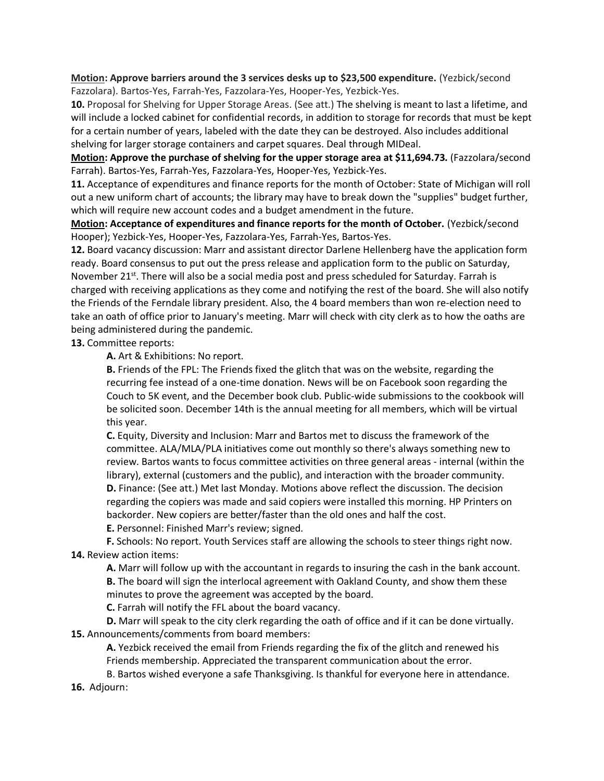**Motion: Approve barriers around the 3 services desks up to \$23,500 expenditure.** (Yezbick/second Fazzolara). Bartos-Yes, Farrah-Yes, Fazzolara-Yes, Hooper-Yes, Yezbick-Yes.

**10.** Proposal for Shelving for Upper Storage Areas. (See att.) The shelving is meant to last a lifetime, and will include a locked cabinet for confidential records, in addition to storage for records that must be kept for a certain number of years, labeled with the date they can be destroyed. Also includes additional shelving for larger storage containers and carpet squares. Deal through MIDeal.

**Motion: Approve the purchase of shelving for the upper storage area at \$11,694.73***.* (Fazzolara/second Farrah). Bartos-Yes, Farrah-Yes, Fazzolara-Yes, Hooper-Yes, Yezbick-Yes.

**11.** Acceptance of expenditures and finance reports for the month of October: State of Michigan will roll out a new uniform chart of accounts; the library may have to break down the "supplies" budget further, which will require new account codes and a budget amendment in the future.

**Motion: Acceptance of expenditures and finance reports for the month of October.** (Yezbick/second Hooper); Yezbick-Yes, Hooper-Yes, Fazzolara-Yes, Farrah-Yes, Bartos-Yes.

**12.** Board vacancy discussion: Marr and assistant director Darlene Hellenberg have the application form ready. Board consensus to put out the press release and application form to the public on Saturday, November 21<sup>st</sup>. There will also be a social media post and press scheduled for Saturday. Farrah is charged with receiving applications as they come and notifying the rest of the board. She will also notify the Friends of the Ferndale library president. Also, the 4 board members than won re-election need to take an oath of office prior to January's meeting. Marr will check with city clerk as to how the oaths are being administered during the pandemic.

**13.** Committee reports:

**A.** Art & Exhibitions: No report.

**B.** Friends of the FPL: The Friends fixed the glitch that was on the website, regarding the recurring fee instead of a one-time donation. News will be on Facebook soon regarding the Couch to 5K event, and the December book club. Public-wide submissions to the cookbook will be solicited soon. December 14th is the annual meeting for all members, which will be virtual this year.

**C.** Equity, Diversity and Inclusion: Marr and Bartos met to discuss the framework of the committee. ALA/MLA/PLA initiatives come out monthly so there's always something new to review. Bartos wants to focus committee activities on three general areas - internal (within the library), external (customers and the public), and interaction with the broader community. **D.** Finance: (See att.) Met last Monday. Motions above reflect the discussion. The decision regarding the copiers was made and said copiers were installed this morning. HP Printers on backorder. New copiers are better/faster than the old ones and half the cost.

**E.** Personnel: Finished Marr's review; signed.

**F.** Schools: No report. Youth Services staff are allowing the schools to steer things right now. **14.** Review action items:

**A.** Marr will follow up with the accountant in regards to insuring the cash in the bank account. **B.** The board will sign the interlocal agreement with Oakland County, and show them these minutes to prove the agreement was accepted by the board.

**C.** Farrah will notify the FFL about the board vacancy.

**D.** Marr will speak to the city clerk regarding the oath of office and if it can be done virtually. **15.** Announcements/comments from board members:

**A.** Yezbick received the email from Friends regarding the fix of the glitch and renewed his Friends membership. Appreciated the transparent communication about the error.

B. Bartos wished everyone a safe Thanksgiving. Is thankful for everyone here in attendance. **16.** Adjourn: